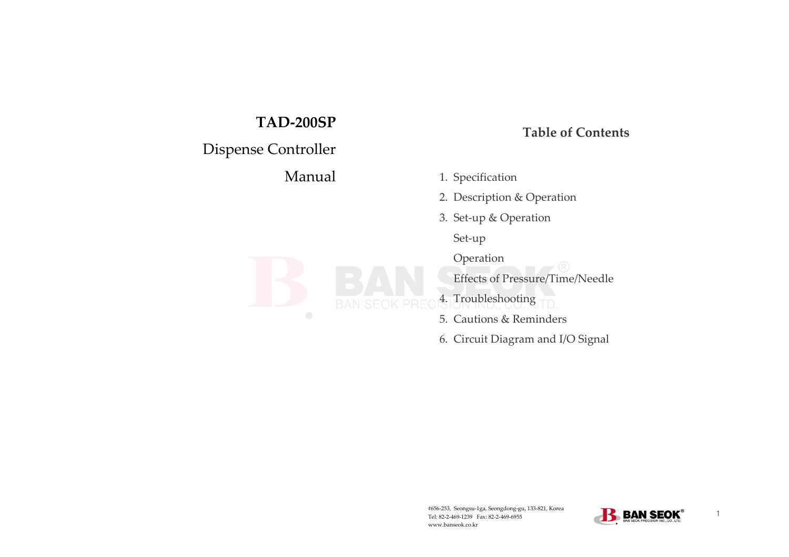# **TAD-200SP**

# Dispense Controller

Manual

# **Table of Contents**

- 1. Specification
- 2. Description & Operation
- 3. Set-up & Operation

Set-up

Operation

Effects of Pressure/Time/Needle

4. Troubleshooting

- 5. Cautions & Reminders
- 6. Circuit Diagram and I/O Signal

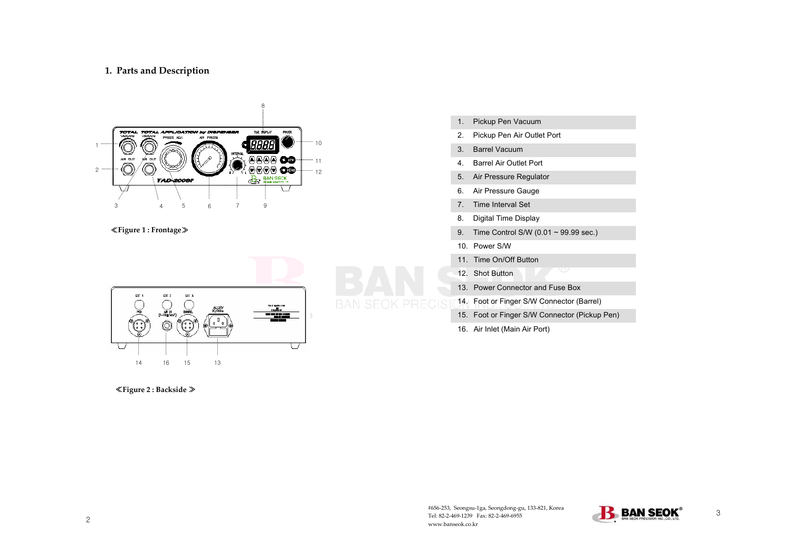# **1. Parts and Description**



#### ≪**Figure 1 : Frontage**≫



#### ≪**Figure 2 : Backside** ≫

 $\tilde{\phantom{a}}$ 

- 1. Pickup Pen Vacuum
- 2. Pickup Pen Air Outlet Port
- 3. Barrel Vacuum
- 4. Barrel Air Outlet Port
- 5. Air Pressure Regulator
- 6. Air Pressure Gauge
- 7. Time Interval Set
- 8. Digital Time Display
- 9. Time Control S/W (0.01 ~ 99.99 sec.)
- 10. Power S/W
- 11. Time On/Off Button
- 12. Shot Button
- 13. Power Connector and Fuse Box
- 14. Foot or Finger S/W Connector (Barrel)
- 15. Foot or Finger S/W Connector (Pickup Pen)
- 16. Air Inlet (Main Air Port)

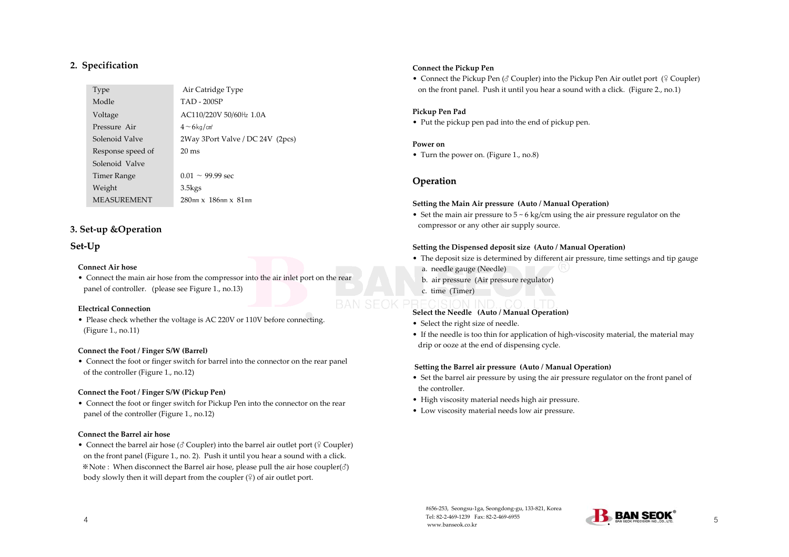## **2. Specification**

| Type               | Air Catridge Type                |
|--------------------|----------------------------------|
| Modle              | <b>TAD - 200SP</b>               |
| Voltage            | AC110/220V 50/60Hz 1.0A          |
| Pressure Air       | $4 - 6$ kg/cm <sup>2</sup>       |
| Solenoid Valve     | 2Way 3Port Valve / DC 24V (2pcs) |
| Response speed of  | $20 \text{ ms}$                  |
| Solenoid Valve     |                                  |
| Timer Range        | $0.01 \sim 99.99$ sec            |
| Weight             | $3.5$ kgs                        |
| <b>MEASUREMENT</b> | $280$ mm $x$ 186mm $x$ 81mm      |

# **3. Set-up &Operation**

# **Set-Up**

#### **Connect Air hose**

• Connect the main air hose from the compressor into the air inlet port on the rear panel of controller. (please see Figure 1., no.13)

#### **Electrical Connection**

• Please check whether the voltage is AC 220V or 110V before connecting. (Figure 1., no.11)

#### **Connect the Foot / Finger S/W (Barrel)**

• Connect the foot or finger switch for barrel into the connector on the rear panel of the controller (Figure 1., no.12)

#### **Connect the Foot / Finger S/W (Pickup Pen)**

• Connect the foot or finger switch for Pickup Pen into the connector on the rear panel of the controller (Figure 1., no.12)

#### **Connect the Barrel air hose**

 $\overline{\phantom{a}}$ 

• Connect the barrel air hose (♂ Coupler) into the barrel air outlet port (♀ Coupler) on the front panel (Figure 1., no. 2). Push it until you hear a sound with a click. ※Note : When disconnect the Barrel air hose, please pull the air hose coupler(♂) body slowly then it will depart from the coupler  $(\frac{6}{7})$  of air outlet port.

#### **Connect the Pickup Pen**

• Connect the Pickup Pen (♂ Coupler) into the Pickup Pen Air outlet port (♀ Coupler) on the front panel. Push it until you hear a sound with a click. (Figure 2., no.1)

#### **Pickup Pen Pad**

• Put the pickup pen pad into the end of pickup pen.

#### **Power on**

• Turn the power on. (Figure 1., no.8)

# **Operation**

#### **Setting the Main Air pressure (Auto / Manual Operation)**

• Set the main air pressure to 5 ~ 6 kg/cm using the air pressure regulator on the compressor or any other air supply source.

#### **Setting the Dispensed deposit size (Auto / Manual Operation)**

- The deposit size is determined by different air pressure, time settings and tip gauge a. needle gauge (Needle)
	- b. air pressure (Air pressure regulator)
	- c. time (Timer)

### **Select the Needle (Auto / Manual Operation)**

- Select the right size of needle.
- If the needle is too thin for application of high-viscosity material, the material may drip or ooze at the end of dispensing cycle.

#### **Setting the Barrel air pressure (Auto / Manual Operation)**

- Set the barrel air pressure by using the air pressure regulator on the front panel of the controller.
- High viscosity material needs high air pressure.
- Low viscosity material needs low air pressure.

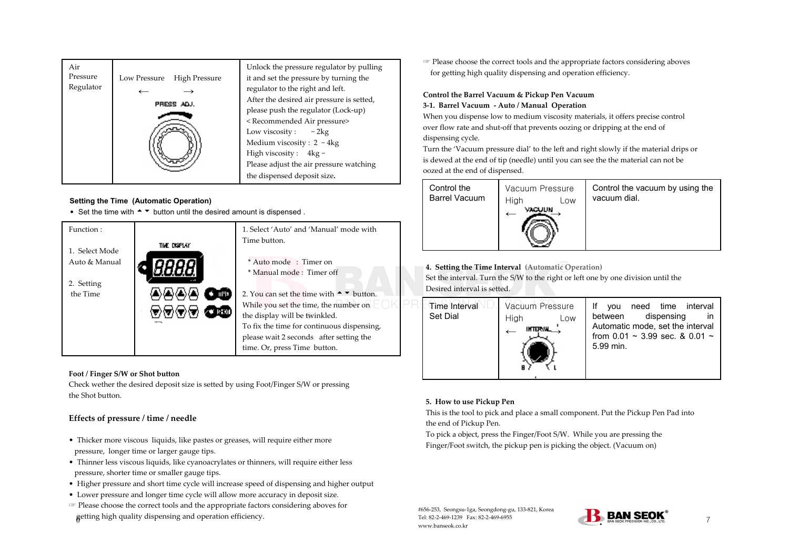| essure   | Low Pressure | <b>High Pressure</b>                    | Unlock the pressure regulator by pulling<br>it and set the pressure by turning the |
|----------|--------------|-----------------------------------------|------------------------------------------------------------------------------------|
| egulator |              |                                         | regulator to the right and left.                                                   |
|          | PRESS ADJ.   |                                         | After the desired air pressure is setted,                                          |
|          |              |                                         | please push the regulator (Lock-up)                                                |
|          |              |                                         | <recommended air="" pressure=""></recommended>                                     |
|          |              |                                         | Low viscosity :<br>$\sim 2 \text{kg}$                                              |
|          |              | Medium viscosity: $2 \sim 4 \text{kg}$  |                                                                                    |
|          |              | High viscosity: $4kg \sim$              |                                                                                    |
|          |              | Please adjust the air pressure watching |                                                                                    |
|          |              |                                         | the dispensed deposit size.                                                        |

#### **Setting the Time (Automatic Operation)**

Set the time with  $\rightarrow \infty$  button until the desired amount is dispensed .



#### **Foot / Finger S/W or Shot button**

neck wether the desired deposit size is setted by using Foot/Finger S/W or pressing e Shot button.

# **Effects of pressure / time / needle**

- Thicker more viscous liquids, like pastes or greases, will require either more pressure, longer time or larger gauge tips.
- Thinner less viscous liquids, like cyanoacrylates or thinners, will require either less pressure, shorter time or smaller gauge tips.
- Higher pressure and short time cycle will increase speed of dispensing and higher output Lower pressure and longer time cycle will allow more accuracy in deposit size.
- 6 Please choose the correct tools and the appropriate factors considering aboves for getting high quality dispensing and operation efficiency.

☞ Please choose the correct tools and the appropriate factors considering aboves for getting high quality dispensing and operation efficiency.

# **Control the Barrel Vacuum & Pickup Pen Vacuum 3-1. Barrel Vacuum - Auto / Manual Operation**

When you dispense low to medium viscosity materials, it offers precise control over flow rate and shut-off that prevents oozing or dripping at the end of dispensing cycle.

Turn the 'Vacuum pressure dial' to the left and right slowly if the material drips or is dewed at the end of tip (needle) until you can see the the material can not be oozed at the end of dispensed.

| Control the          | Vacuum Pressure |     | Control the vacuum by using the |
|----------------------|-----------------|-----|---------------------------------|
| <b>Barrel Vacuum</b> | High<br>VAGUUN  | Low | vacuum dial.                    |
|                      |                 |     |                                 |

**4. Setting the Time Interval (Automatic Operation)**

Set the interval. Turn the S/W to the right or left one by one division until the Desired interval is setted.



### **5. How to use Pickup Pen**

This is the tool to pick and place a small component. Put the Pickup Pen Pad into the end of Pickup Pen.

To pick a object, press the Finger/Foot S/W. While you are pressing the Finger/Foot switch, the pickup pen is picking the object. (Vacuum on)

#656-253, Seongsu-1ga, Seongdong-gu, 133-821, Korea Tel: 82-2-469-1239 Fax: 82-2-469-6955